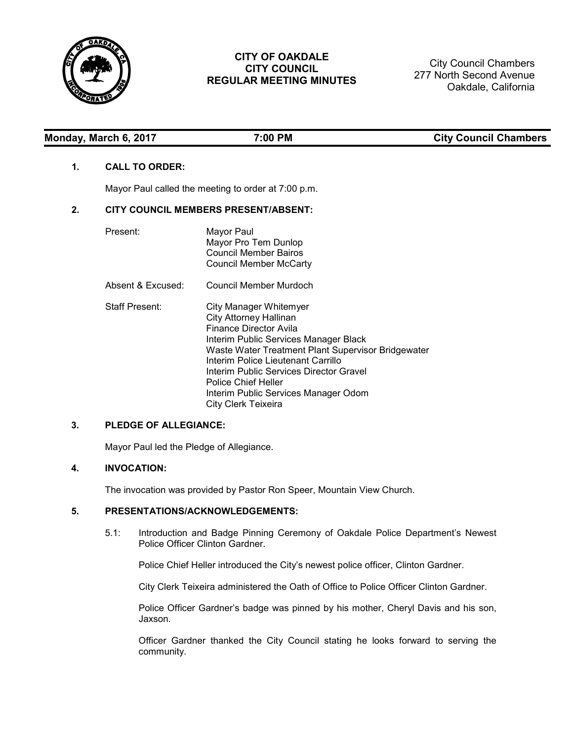

# **CITY OF OAKDALE CITY COUNCIL REGULAR MEETING MINUTES**

City Council Chambers 277 North Second Avenue Oakdale, California

| Monday, March 6, 2017 | 7:00 PM |  |
|-----------------------|---------|--|
|                       |         |  |

# **ty Council Chambers**

## **1. CALL TO ORDER:**

Mayor Paul called the meeting to order at 7:00 p.m.

## **2. CITY COUNCIL MEMBERS PRESENT/ABSENT:**

| Present:              | Mayor Paul<br>Mayor Pro Tem Dunlop<br>Council Member Bairos<br>Council Member McCarty                                                                                                                                                                                                                                                                          |
|-----------------------|----------------------------------------------------------------------------------------------------------------------------------------------------------------------------------------------------------------------------------------------------------------------------------------------------------------------------------------------------------------|
| Absent & Excused:     | Council Member Murdoch                                                                                                                                                                                                                                                                                                                                         |
| <b>Staff Present:</b> | City Manager Whitemyer<br><b>City Attorney Hallinan</b><br>Finance Director Avila<br>Interim Public Services Manager Black<br>Waste Water Treatment Plant Supervisor Bridgewater<br>Interim Police Lieutenant Carrillo<br>Interim Public Services Director Gravel<br><b>Police Chief Heller</b><br>Interim Public Services Manager Odom<br>City Clerk Teixeira |

## **3. PLEDGE OF ALLEGIANCE:**

Mayor Paul led the Pledge of Allegiance.

# **4. INVOCATION:**

The invocation was provided by Pastor Ron Speer, Mountain View Church.

## **5. PRESENTATIONS/ACKNOWLEDGEMENTS:**

5.1: Introduction and Badge Pinning Ceremony of Oakdale Police Department's Newest Police Officer Clinton Gardner.

Police Chief Heller introduced the City's newest police officer, Clinton Gardner.

City Clerk Teixeira administered the Oath of Office to Police Officer Clinton Gardner.

Police Officer Gardner's badge was pinned by his mother, Cheryl Davis and his son, Jaxson.

Officer Gardner thanked the City Council stating he looks forward to serving the community.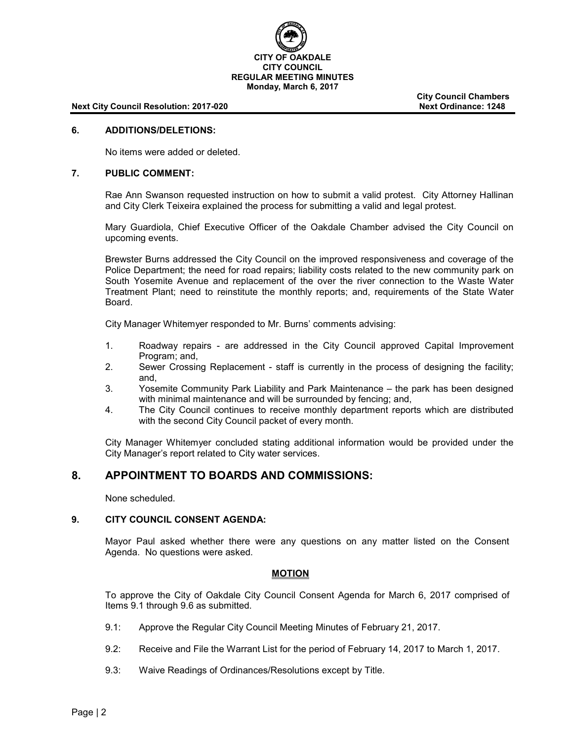

#### **Next City Council Resolution: 2017-020 Next Ordinance: 1248**

**City Council Chambers**

#### **6. ADDITIONS/DELETIONS:**

No items were added or deleted.

#### **7. PUBLIC COMMENT:**

Rae Ann Swanson requested instruction on how to submit a valid protest. City Attorney Hallinan and City Clerk Teixeira explained the process for submitting a valid and legal protest.

Mary Guardiola, Chief Executive Officer of the Oakdale Chamber advised the City Council on upcoming events.

Brewster Burns addressed the City Council on the improved responsiveness and coverage of the Police Department; the need for road repairs; liability costs related to the new community park on South Yosemite Avenue and replacement of the over the river connection to the Waste Water Treatment Plant; need to reinstitute the monthly reports; and, requirements of the State Water Board.

City Manager Whitemyer responded to Mr. Burns' comments advising:

- 1. Roadway repairs are addressed in the City Council approved Capital Improvement Program; and,
- 2. Sewer Crossing Replacement staff is currently in the process of designing the facility; and,
- 3. Yosemite Community Park Liability and Park Maintenance the park has been designed with minimal maintenance and will be surrounded by fencing; and,
- 4. The City Council continues to receive monthly department reports which are distributed with the second City Council packet of every month.

City Manager Whitemyer concluded stating additional information would be provided under the City Manager's report related to City water services.

# **8. APPOINTMENT TO BOARDS AND COMMISSIONS:**

None scheduled.

## **9. CITY COUNCIL CONSENT AGENDA:**

Mayor Paul asked whether there were any questions on any matter listed on the Consent Agenda. No questions were asked.

#### **MOTION**

To approve the City of Oakdale City Council Consent Agenda for March 6, 2017 comprised of Items 9.1 through 9.6 as submitted.

- 9.1: Approve the Regular City Council Meeting Minutes of February 21, 2017.
- 9.2: Receive and File the Warrant List for the period of February 14, 2017 to March 1, 2017.
- 9.3: Waive Readings of Ordinances/Resolutions except by Title.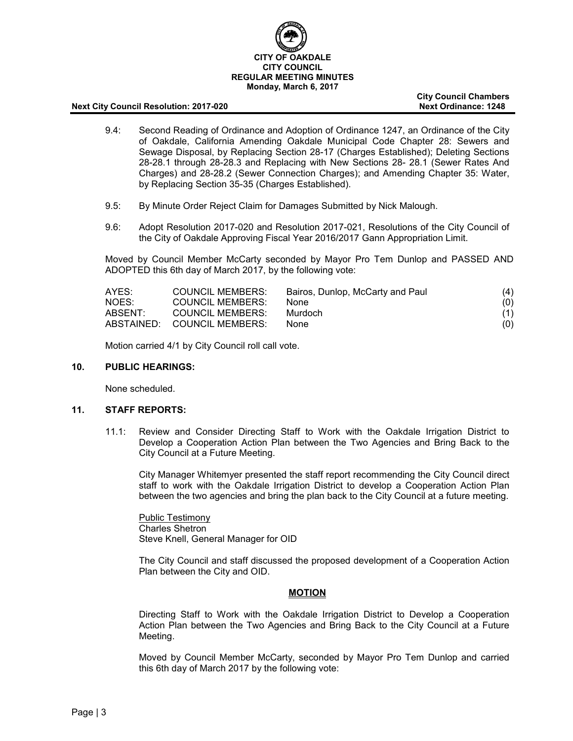

#### **Next City Council Resolution: 2017-020 Next Ordinance: 1248**

**City Council Chambers**

- 9.4: Second Reading of Ordinance and Adoption of Ordinance 1247, an Ordinance of the City of Oakdale, California Amending Oakdale Municipal Code Chapter 28: Sewers and Sewage Disposal, by Replacing Section 28-17 (Charges Established); Deleting Sections 28-28.1 through 28-28.3 and Replacing with New Sections 28- 28.1 (Sewer Rates And Charges) and 28-28.2 (Sewer Connection Charges); and Amending Chapter 35: Water, by Replacing Section 35-35 (Charges Established).
- 9.5: By Minute Order Reject Claim for Damages Submitted by Nick Malough.
- 9.6: Adopt Resolution 2017-020 and Resolution 2017-021, Resolutions of the City Council of the City of Oakdale Approving Fiscal Year 2016/2017 Gann Appropriation Limit.

Moved by Council Member McCarty seconded by Mayor Pro Tem Dunlop and PASSED AND ADOPTED this 6th day of March 2017, by the following vote:

| AYES:   | COUNCIL MEMBERS:            | Bairos, Dunlop, McCarty and Paul | (4) |
|---------|-----------------------------|----------------------------------|-----|
| NOES:   | <b>COUNCIL MEMBERS:</b>     | None.                            | (0) |
| ABSENT: | COUNCIL MEMBERS:            | Murdoch                          | (1) |
|         | ABSTAINED: COUNCIL MEMBERS: | <b>None</b>                      | (0) |

Motion carried 4/1 by City Council roll call vote.

#### **10. PUBLIC HEARINGS:**

None scheduled.

#### **11. STAFF REPORTS:**

11.1: Review and Consider Directing Staff to Work with the Oakdale Irrigation District to Develop a Cooperation Action Plan between the Two Agencies and Bring Back to the City Council at a Future Meeting.

City Manager Whitemyer presented the staff report recommending the City Council direct staff to work with the Oakdale Irrigation District to develop a Cooperation Action Plan between the two agencies and bring the plan back to the City Council at a future meeting.

Public Testimony Charles Shetron Steve Knell, General Manager for OID

The City Council and staff discussed the proposed development of a Cooperation Action Plan between the City and OID.

## **MOTION**

Directing Staff to Work with the Oakdale Irrigation District to Develop a Cooperation Action Plan between the Two Agencies and Bring Back to the City Council at a Future Meeting.

Moved by Council Member McCarty, seconded by Mayor Pro Tem Dunlop and carried this 6th day of March 2017 by the following vote: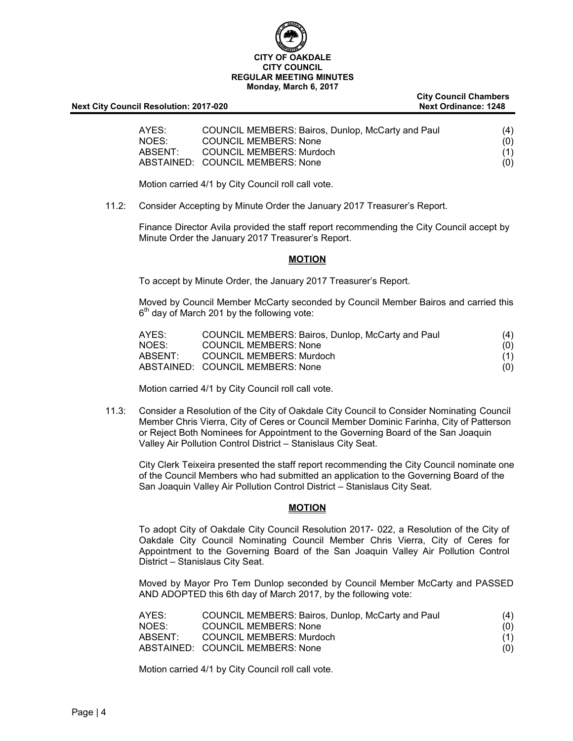

| <b>Next City Council Resolution: 2017-020</b> |  |
|-----------------------------------------------|--|
|                                               |  |

| AYES:   | COUNCIL MEMBERS: Bairos, Dunlop, McCarty and Paul | (4) |
|---------|---------------------------------------------------|-----|
| NOES:   | <b>COUNCIL MEMBERS: None</b>                      | (0) |
| ABSENT: | COUNCIL MEMBERS: Murdoch                          | (1) |
|         | ABSTAINED: COUNCIL MEMBERS: None                  | (0) |

Motion carried 4/1 by City Council roll call vote.

11.2: Consider Accepting by Minute Order the January 2017 Treasurer's Report.

Finance Director Avila provided the staff report recommending the City Council accept by Minute Order the January 2017 Treasurer's Report.

### **MOTION**

To accept by Minute Order, the January 2017 Treasurer's Report.

Moved by Council Member McCarty seconded by Council Member Bairos and carried this  $6<sup>th</sup>$  day of March 201 by the following vote:

| AYES:   | COUNCIL MEMBERS: Bairos, Dunlop, McCarty and Paul | (4) |
|---------|---------------------------------------------------|-----|
| NOES:   | <b>COUNCIL MEMBERS: None</b>                      | (0) |
| ABSENT: | COUNCIL MEMBERS: Murdoch                          | (1) |
|         | ABSTAINED: COUNCIL MEMBERS: None                  | (0) |

Motion carried 4/1 by City Council roll call vote.

11.3: Consider a Resolution of the City of Oakdale City Council to Consider Nominating Council Member Chris Vierra, City of Ceres or Council Member Dominic Farinha, City of Patterson or Reject Both Nominees for Appointment to the Governing Board of the San Joaquin Valley Air Pollution Control District – Stanislaus City Seat.

City Clerk Teixeira presented the staff report recommending the City Council nominate one of the Council Members who had submitted an application to the Governing Board of the San Joaquin Valley Air Pollution Control District – Stanislaus City Seat.

## **MOTION**

To adopt City of Oakdale City Council Resolution 2017- 022, a Resolution of the City of Oakdale City Council Nominating Council Member Chris Vierra, City of Ceres for Appointment to the Governing Board of the San Joaquin Valley Air Pollution Control District – Stanislaus City Seat.

Moved by Mayor Pro Tem Dunlop seconded by Council Member McCarty and PASSED AND ADOPTED this 6th day of March 2017, by the following vote:

| AYES:   | COUNCIL MEMBERS: Bairos, Dunlop, McCarty and Paul | (4) |
|---------|---------------------------------------------------|-----|
| NOES:   | <b>COUNCIL MEMBERS: None</b>                      | (0) |
| ABSENT: | COUNCIL MEMBERS: Murdoch                          | (1) |
|         | ABSTAINED: COUNCIL MEMBERS: None                  | (0) |

Motion carried 4/1 by City Council roll call vote.